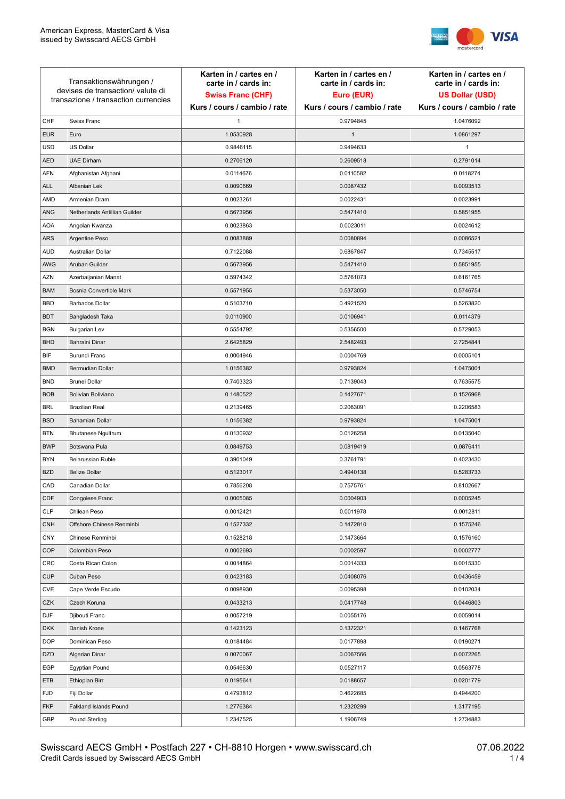

| Transaktionswährungen /<br>devises de transaction/valute di<br>transazione / transaction currencies |                               | Karten in / cartes en /<br>carte in / cards in:<br><b>Swiss Franc (CHF)</b> | Karten in / cartes en /<br>carte in / cards in:<br>Euro (EUR) | Karten in / cartes en /<br>carte in / cards in:<br><b>US Dollar (USD)</b> |
|-----------------------------------------------------------------------------------------------------|-------------------------------|-----------------------------------------------------------------------------|---------------------------------------------------------------|---------------------------------------------------------------------------|
|                                                                                                     |                               | Kurs / cours / cambio / rate                                                | Kurs / cours / cambio / rate                                  | Kurs / cours / cambio / rate                                              |
| CHF                                                                                                 | Swiss Franc                   | 1                                                                           | 0.9794845                                                     | 1.0476092                                                                 |
| <b>EUR</b>                                                                                          | Euro                          | 1.0530928                                                                   | $\mathbf{1}$                                                  | 1.0861297                                                                 |
| <b>USD</b>                                                                                          | US Dollar                     | 0.9846115                                                                   | 0.9494633                                                     | $\mathbf{1}$                                                              |
| <b>AED</b>                                                                                          | <b>UAE Dirham</b>             | 0.2706120                                                                   | 0.2609518                                                     | 0.2791014                                                                 |
| <b>AFN</b>                                                                                          | Afghanistan Afghani           | 0.0114676                                                                   | 0.0110582                                                     | 0.0118274                                                                 |
| ALL                                                                                                 | Albanian Lek                  | 0.0090669                                                                   | 0.0087432                                                     | 0.0093513                                                                 |
| AMD                                                                                                 | Armenian Dram                 | 0.0023261                                                                   | 0.0022431                                                     | 0.0023991                                                                 |
| ANG                                                                                                 | Netherlands Antillian Guilder | 0.5673956                                                                   | 0.5471410                                                     | 0.5851955                                                                 |
| <b>AOA</b>                                                                                          | Angolan Kwanza                | 0.0023863                                                                   | 0.0023011                                                     | 0.0024612                                                                 |
| ARS                                                                                                 | Argentine Peso                | 0.0083889                                                                   | 0.0080894                                                     | 0.0086521                                                                 |
| <b>AUD</b>                                                                                          | Australian Dollar             | 0.7122088                                                                   | 0.6867847                                                     | 0.7345517                                                                 |
| AWG                                                                                                 | Aruban Guilder                | 0.5673956                                                                   | 0.5471410                                                     | 0.5851955                                                                 |
| AZN                                                                                                 | Azerbaijanian Manat           | 0.5974342                                                                   | 0.5761073                                                     | 0.6161765                                                                 |
| <b>BAM</b>                                                                                          | Bosnia Convertible Mark       | 0.5571955                                                                   | 0.5373050                                                     | 0.5746754                                                                 |
| <b>BBD</b>                                                                                          | <b>Barbados Dollar</b>        | 0.5103710                                                                   | 0.4921520                                                     | 0.5263820                                                                 |
| <b>BDT</b>                                                                                          | Bangladesh Taka               | 0.0110900                                                                   | 0.0106941                                                     | 0.0114379                                                                 |
| <b>BGN</b>                                                                                          | <b>Bulgarian Lev</b>          | 0.5554792                                                                   | 0.5356500                                                     | 0.5729053                                                                 |
| <b>BHD</b>                                                                                          | Bahraini Dinar                | 2.6425829                                                                   | 2.5482493                                                     | 2.7254841                                                                 |
| BIF                                                                                                 | Burundi Franc                 | 0.0004946                                                                   | 0.0004769                                                     | 0.0005101                                                                 |
| <b>BMD</b>                                                                                          | Bermudian Dollar              | 1.0156382                                                                   | 0.9793824                                                     | 1.0475001                                                                 |
| <b>BND</b>                                                                                          | <b>Brunei Dollar</b>          | 0.7403323                                                                   | 0.7139043                                                     | 0.7635575                                                                 |
| <b>BOB</b>                                                                                          | Bolivian Boliviano            | 0.1480522                                                                   | 0.1427671                                                     | 0.1526968                                                                 |
| <b>BRL</b>                                                                                          | <b>Brazilian Real</b>         | 0.2139465                                                                   | 0.2063091                                                     | 0.2206583                                                                 |
| <b>BSD</b>                                                                                          | <b>Bahamian Dollar</b>        | 1.0156382                                                                   | 0.9793824                                                     | 1.0475001                                                                 |
| <b>BTN</b>                                                                                          | <b>Bhutanese Ngultrum</b>     | 0.0130932                                                                   | 0.0126258                                                     | 0.0135040                                                                 |
| <b>BWP</b>                                                                                          | Botswana Pula                 | 0.0849753                                                                   | 0.0819419                                                     | 0.0876411                                                                 |
| <b>BYN</b>                                                                                          | Belarussian Ruble             | 0.3901049                                                                   | 0.3761791                                                     | 0.4023430                                                                 |
| <b>BZD</b>                                                                                          | <b>Belize Dollar</b>          | 0.5123017                                                                   | 0.4940138                                                     | 0.5283733                                                                 |
| CAD                                                                                                 | Canadian Dollar               | 0.7856208                                                                   | 0.7575761                                                     | 0.8102667                                                                 |
| CDF                                                                                                 | Congolese Franc               | 0.0005085                                                                   | 0.0004903                                                     | 0.0005245                                                                 |
| <b>CLP</b>                                                                                          | Chilean Peso                  | 0.0012421                                                                   | 0.0011978                                                     | 0.0012811                                                                 |
| <b>CNH</b>                                                                                          | Offshore Chinese Renminbi     | 0.1527332                                                                   | 0.1472810                                                     | 0.1575246                                                                 |
| <b>CNY</b>                                                                                          | Chinese Renminbi              | 0.1528218                                                                   | 0.1473664                                                     | 0.1576160                                                                 |
| <b>COP</b>                                                                                          | Colombian Peso                | 0.0002693                                                                   | 0.0002597                                                     | 0.0002777                                                                 |
| CRC                                                                                                 | Costa Rican Colon             | 0.0014864                                                                   | 0.0014333                                                     | 0.0015330                                                                 |
| <b>CUP</b>                                                                                          | Cuban Peso                    | 0.0423183                                                                   | 0.0408076                                                     | 0.0436459                                                                 |
| CVE                                                                                                 | Cape Verde Escudo             | 0.0098930                                                                   | 0.0095398                                                     | 0.0102034                                                                 |
| CZK                                                                                                 | Czech Koruna                  | 0.0433213                                                                   | 0.0417748                                                     | 0.0446803                                                                 |
| DJF                                                                                                 | Djibouti Franc                | 0.0057219                                                                   | 0.0055176                                                     | 0.0059014                                                                 |
| <b>DKK</b>                                                                                          | Danish Krone                  | 0.1423123                                                                   | 0.1372321                                                     | 0.1467768                                                                 |
| <b>DOP</b>                                                                                          | Dominican Peso                | 0.0184484                                                                   | 0.0177898                                                     | 0.0190271                                                                 |
| <b>DZD</b>                                                                                          | Algerian Dinar                | 0.0070067                                                                   | 0.0067566                                                     | 0.0072265                                                                 |
| EGP                                                                                                 | Egyptian Pound                | 0.0546630                                                                   | 0.0527117                                                     | 0.0563778                                                                 |
| ETB                                                                                                 | Ethiopian Birr                | 0.0195641                                                                   | 0.0188657                                                     | 0.0201779                                                                 |
| <b>FJD</b>                                                                                          | Fiji Dollar                   | 0.4793812                                                                   | 0.4622685                                                     | 0.4944200                                                                 |
| <b>FKP</b>                                                                                          | Falkland Islands Pound        | 1.2776384                                                                   | 1.2320299                                                     | 1.3177195                                                                 |
| GBP                                                                                                 | Pound Sterling                | 1.2347525                                                                   | 1.1906749                                                     | 1.2734883                                                                 |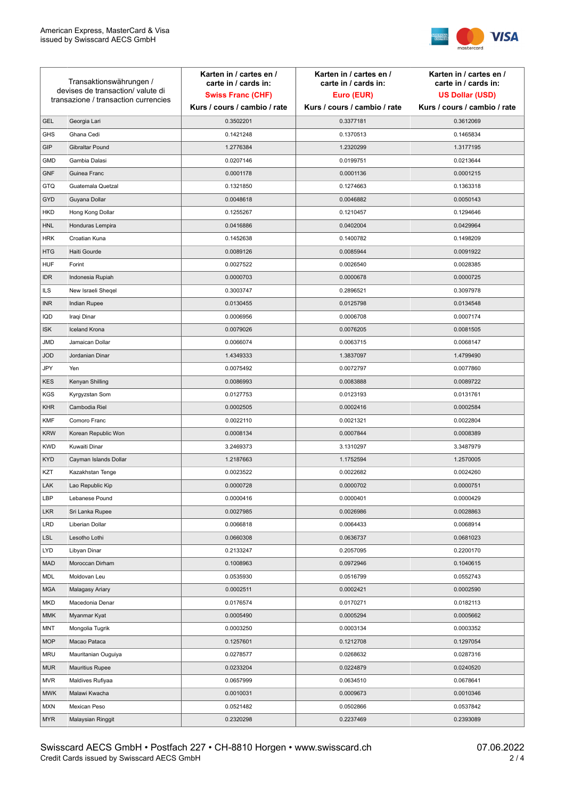

| Transaktionswährungen /<br>devises de transaction/valute di |                                      | Karten in / cartes en /<br>carte in / cards in: | Karten in / cartes en /<br>carte in / cards in: | Karten in / cartes en /<br>carte in / cards in: |
|-------------------------------------------------------------|--------------------------------------|-------------------------------------------------|-------------------------------------------------|-------------------------------------------------|
|                                                             |                                      | <b>Swiss Franc (CHF)</b>                        | Euro (EUR)                                      | <b>US Dollar (USD)</b>                          |
|                                                             | transazione / transaction currencies | Kurs / cours / cambio / rate                    | Kurs / cours / cambio / rate                    | Kurs / cours / cambio / rate                    |
| <b>GEL</b>                                                  | Georgia Lari                         | 0.3502201                                       | 0.3377181                                       | 0.3612069                                       |
| <b>GHS</b>                                                  | Ghana Cedi                           | 0.1421248                                       | 0.1370513                                       | 0.1465834                                       |
| GIP                                                         | Gibraltar Pound                      | 1.2776384                                       | 1.2320299                                       | 1.3177195                                       |
| <b>GMD</b>                                                  | Gambia Dalasi                        | 0.0207146                                       | 0.0199751                                       | 0.0213644                                       |
| <b>GNF</b>                                                  | Guinea Franc                         | 0.0001178                                       | 0.0001136                                       | 0.0001215                                       |
| <b>GTQ</b>                                                  | Guatemala Quetzal                    | 0.1321850                                       | 0.1274663                                       | 0.1363318                                       |
| GYD                                                         | Guyana Dollar                        | 0.0048618                                       | 0.0046882                                       | 0.0050143                                       |
| HKD                                                         | Hong Kong Dollar                     | 0.1255267                                       | 0.1210457                                       | 0.1294646                                       |
| <b>HNL</b>                                                  | Honduras Lempira                     | 0.0416886                                       | 0.0402004                                       | 0.0429964                                       |
| <b>HRK</b>                                                  | Croatian Kuna                        | 0.1452638                                       | 0.1400782                                       | 0.1498209                                       |
| <b>HTG</b>                                                  | Haiti Gourde                         | 0.0089126                                       | 0.0085944                                       | 0.0091922                                       |
| <b>HUF</b>                                                  | Forint                               | 0.0027522                                       | 0.0026540                                       | 0.0028385                                       |
| <b>IDR</b>                                                  | Indonesia Rupiah                     | 0.0000703                                       | 0.0000678                                       | 0.0000725                                       |
| <b>ILS</b>                                                  | New Israeli Sheqel                   | 0.3003747                                       | 0.2896521                                       | 0.3097978                                       |
| <b>INR</b>                                                  | Indian Rupee                         | 0.0130455                                       | 0.0125798                                       | 0.0134548                                       |
| IQD                                                         | Iraqi Dinar                          | 0.0006956                                       | 0.0006708                                       | 0.0007174                                       |
| <b>ISK</b>                                                  | <b>Iceland Krona</b>                 | 0.0079026                                       | 0.0076205                                       | 0.0081505                                       |
| <b>JMD</b>                                                  | Jamaican Dollar                      | 0.0066074                                       | 0.0063715                                       | 0.0068147                                       |
| <b>JOD</b>                                                  | Jordanian Dinar                      | 1.4349333                                       | 1.3837097                                       | 1.4799490                                       |
| JPY                                                         | Yen                                  | 0.0075492                                       | 0.0072797                                       | 0.0077860                                       |
| <b>KES</b>                                                  | Kenyan Shilling                      | 0.0086993                                       | 0.0083888                                       | 0.0089722                                       |
| <b>KGS</b>                                                  | Kyrgyzstan Som                       | 0.0127753                                       | 0.0123193                                       | 0.0131761                                       |
| <b>KHR</b>                                                  | Cambodia Riel                        | 0.0002505                                       | 0.0002416                                       | 0.0002584                                       |
| <b>KMF</b>                                                  | Comoro Franc                         | 0.0022110                                       | 0.0021321                                       | 0.0022804                                       |
| <b>KRW</b>                                                  | Korean Republic Won                  | 0.0008134                                       | 0.0007844                                       | 0.0008389                                       |
| <b>KWD</b>                                                  | Kuwaiti Dinar                        | 3.2469373                                       | 3.1310297                                       | 3.3487979                                       |
| <b>KYD</b>                                                  | Cayman Islands Dollar                | 1.2187663                                       | 1.1752594                                       | 1.2570005                                       |
| KZT                                                         | Kazakhstan Tenge                     | 0.0023522                                       | 0.0022682                                       | 0.0024260                                       |
| LAK                                                         | Lao Republic Kip                     | 0.0000728                                       | 0.0000702                                       | 0.0000751                                       |
| LBP                                                         | Lebanese Pound                       | 0.0000416                                       | 0.0000401                                       | 0.0000429                                       |
| <b>LKR</b>                                                  | Sri Lanka Rupee                      | 0.0027985                                       | 0.0026986                                       | 0.0028863                                       |
| <b>LRD</b>                                                  | Liberian Dollar                      | 0.0066818                                       | 0.0064433                                       | 0.0068914                                       |
| <b>LSL</b>                                                  | Lesotho Lothi                        | 0.0660308                                       | 0.0636737                                       | 0.0681023                                       |
| LYD                                                         | Libyan Dinar                         | 0.2133247                                       | 0.2057095                                       | 0.2200170                                       |
| <b>MAD</b>                                                  | Moroccan Dirham                      | 0.1008963                                       | 0.0972946                                       | 0.1040615                                       |
| MDL                                                         | Moldovan Leu                         | 0.0535930                                       | 0.0516799                                       | 0.0552743                                       |
| <b>MGA</b>                                                  | Malagasy Ariary                      | 0.0002511                                       | 0.0002421                                       | 0.0002590                                       |
| MKD                                                         | Macedonia Denar                      | 0.0176574                                       | 0.0170271                                       | 0.0182113                                       |
| <b>MMK</b>                                                  | Myanmar Kyat                         | 0.0005490                                       | 0.0005294                                       | 0.0005662                                       |
| <b>MNT</b>                                                  | Mongolia Tugrik                      | 0.0003250                                       | 0.0003134                                       | 0.0003352                                       |
| <b>MOP</b>                                                  | Macao Pataca                         | 0.1257601                                       | 0.1212708                                       | 0.1297054                                       |
| <b>MRU</b>                                                  | Mauritanian Ouguiya                  | 0.0278577                                       | 0.0268632                                       | 0.0287316                                       |
| <b>MUR</b>                                                  | <b>Mauritius Rupee</b>               | 0.0233204                                       | 0.0224879                                       | 0.0240520                                       |
| <b>MVR</b>                                                  | Maldives Rufiyaa                     | 0.0657999                                       | 0.0634510                                       | 0.0678641                                       |
| <b>MWK</b>                                                  | Malawi Kwacha                        | 0.0010031                                       | 0.0009673                                       | 0.0010346                                       |
| <b>MXN</b>                                                  | Mexican Peso                         | 0.0521482                                       | 0.0502866                                       | 0.0537842                                       |
| <b>MYR</b>                                                  | Malaysian Ringgit                    | 0.2320298                                       | 0.2237469                                       | 0.2393089                                       |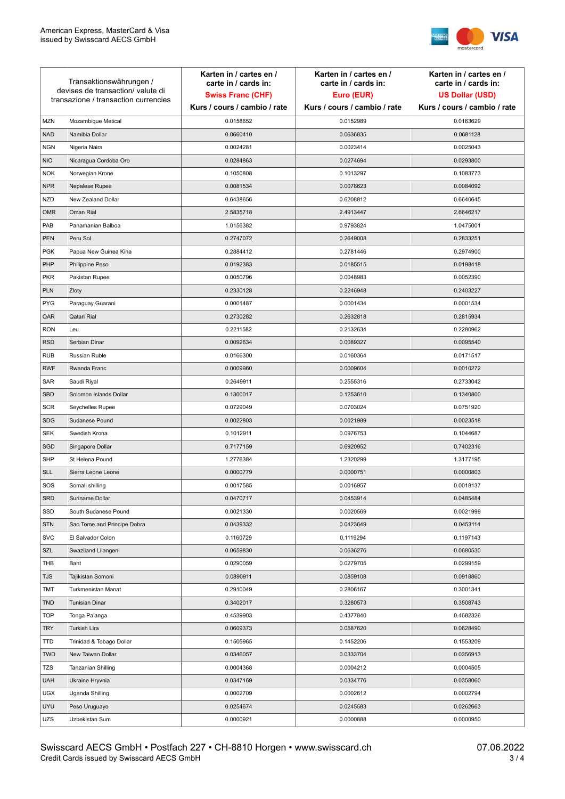

| Transaktionswährungen /<br>devises de transaction/valute di<br>transazione / transaction currencies |                             | Karten in / cartes en /<br>carte in / cards in:<br><b>Swiss Franc (CHF)</b> | Karten in / cartes en /<br>carte in / cards in:<br>Euro (EUR) | Karten in / cartes en /<br>carte in / cards in:<br><b>US Dollar (USD)</b> |
|-----------------------------------------------------------------------------------------------------|-----------------------------|-----------------------------------------------------------------------------|---------------------------------------------------------------|---------------------------------------------------------------------------|
|                                                                                                     |                             | Kurs / cours / cambio / rate                                                | Kurs / cours / cambio / rate                                  | Kurs / cours / cambio / rate                                              |
| <b>MZN</b>                                                                                          | Mozambique Metical          | 0.0158652                                                                   | 0.0152989                                                     | 0.0163629                                                                 |
| <b>NAD</b>                                                                                          | Namibia Dollar              | 0.0660410                                                                   | 0.0636835                                                     | 0.0681128                                                                 |
| <b>NGN</b>                                                                                          | Nigeria Naira               | 0.0024281                                                                   | 0.0023414                                                     | 0.0025043                                                                 |
| <b>NIO</b>                                                                                          | Nicaragua Cordoba Oro       | 0.0284863                                                                   | 0.0274694                                                     | 0.0293800                                                                 |
| <b>NOK</b>                                                                                          | Norwegian Krone             | 0.1050808                                                                   | 0.1013297                                                     | 0.1083773                                                                 |
| <b>NPR</b>                                                                                          | Nepalese Rupee              | 0.0081534                                                                   | 0.0078623                                                     | 0.0084092                                                                 |
| <b>NZD</b>                                                                                          | New Zealand Dollar          | 0.6438656                                                                   | 0.6208812                                                     | 0.6640645                                                                 |
| <b>OMR</b>                                                                                          | Oman Rial                   | 2.5835718                                                                   | 2.4913447                                                     | 2.6646217                                                                 |
| PAB                                                                                                 | Panamanian Balboa           | 1.0156382                                                                   | 0.9793824                                                     | 1.0475001                                                                 |
| <b>PEN</b>                                                                                          | Peru Sol                    | 0.2747072                                                                   | 0.2649008                                                     | 0.2833251                                                                 |
| <b>PGK</b>                                                                                          | Papua New Guinea Kina       | 0.2884412                                                                   | 0.2781446                                                     | 0.2974900                                                                 |
| PHP                                                                                                 | Philippine Peso             | 0.0192383                                                                   | 0.0185515                                                     | 0.0198418                                                                 |
| <b>PKR</b>                                                                                          | Pakistan Rupee              | 0.0050796                                                                   | 0.0048983                                                     | 0.0052390                                                                 |
| <b>PLN</b>                                                                                          | Zloty                       | 0.2330128                                                                   | 0.2246948                                                     | 0.2403227                                                                 |
| <b>PYG</b>                                                                                          | Paraguay Guarani            | 0.0001487                                                                   | 0.0001434                                                     | 0.0001534                                                                 |
| QAR                                                                                                 | Qatari Rial                 | 0.2730282                                                                   | 0.2632818                                                     | 0.2815934                                                                 |
| <b>RON</b>                                                                                          | Leu                         | 0.2211582                                                                   | 0.2132634                                                     | 0.2280962                                                                 |
| <b>RSD</b>                                                                                          | Serbian Dinar               | 0.0092634                                                                   | 0.0089327                                                     | 0.0095540                                                                 |
| <b>RUB</b>                                                                                          | Russian Ruble               | 0.0166300                                                                   | 0.0160364                                                     | 0.0171517                                                                 |
| <b>RWF</b>                                                                                          | Rwanda Franc                | 0.0009960                                                                   | 0.0009604                                                     | 0.0010272                                                                 |
| SAR                                                                                                 | Saudi Riyal                 | 0.2649911                                                                   | 0.2555316                                                     | 0.2733042                                                                 |
| <b>SBD</b>                                                                                          | Solomon Islands Dollar      | 0.1300017                                                                   | 0.1253610                                                     | 0.1340800                                                                 |
| <b>SCR</b>                                                                                          | Seychelles Rupee            | 0.0729049                                                                   | 0.0703024                                                     | 0.0751920                                                                 |
| <b>SDG</b>                                                                                          | Sudanese Pound              | 0.0022803                                                                   | 0.0021989                                                     | 0.0023518                                                                 |
| <b>SEK</b>                                                                                          | Swedish Krona               | 0.1012911                                                                   | 0.0976753                                                     | 0.1044687                                                                 |
| SGD                                                                                                 | Singapore Dollar            | 0.7177159                                                                   | 0.6920952                                                     | 0.7402316                                                                 |
| <b>SHP</b>                                                                                          | St Helena Pound             | 1.2776384                                                                   | 1.2320299                                                     | 1.3177195                                                                 |
| <b>SLL</b>                                                                                          | Sierra Leone Leone          | 0.0000779                                                                   | 0.0000751                                                     | 0.0000803                                                                 |
| SOS                                                                                                 | Somali shilling             | 0.0017585                                                                   | 0.0016957                                                     | 0.0018137                                                                 |
| SRD                                                                                                 | Suriname Dollar             | 0.0470717                                                                   | 0.0453914                                                     | 0.0485484                                                                 |
| SSD                                                                                                 | South Sudanese Pound        | 0.0021330                                                                   | 0.0020569                                                     | 0.0021999                                                                 |
| <b>STN</b>                                                                                          | Sao Tome and Principe Dobra | 0.0439332                                                                   | 0.0423649                                                     | 0.0453114                                                                 |
| <b>SVC</b>                                                                                          | El Salvador Colon           | 0.1160729                                                                   | 0.1119294                                                     | 0.1197143                                                                 |
| SZL                                                                                                 | Swaziland Lilangeni         | 0.0659830                                                                   | 0.0636276                                                     | 0.0680530                                                                 |
| THB                                                                                                 | Baht                        | 0.0290059                                                                   | 0.0279705                                                     | 0.0299159                                                                 |
| TJS                                                                                                 | Tajikistan Somoni           | 0.0890911                                                                   | 0.0859108                                                     | 0.0918860                                                                 |
| <b>TMT</b>                                                                                          | Turkmenistan Manat          | 0.2910049                                                                   | 0.2806167                                                     | 0.3001341                                                                 |
| <b>TND</b>                                                                                          | <b>Tunisian Dinar</b>       | 0.3402017                                                                   | 0.3280573                                                     | 0.3508743                                                                 |
| <b>TOP</b>                                                                                          | Tonga Pa'anga               | 0.4539903                                                                   | 0.4377840                                                     | 0.4682326                                                                 |
| <b>TRY</b>                                                                                          | Turkish Lira                | 0.0609373                                                                   | 0.0587620                                                     | 0.0628490                                                                 |
| TTD                                                                                                 | Trinidad & Tobago Dollar    | 0.1505965                                                                   | 0.1452206                                                     | 0.1553209                                                                 |
| <b>TWD</b>                                                                                          | New Taiwan Dollar           | 0.0346057                                                                   | 0.0333704                                                     | 0.0356913                                                                 |
| <b>TZS</b>                                                                                          | Tanzanian Shilling          | 0.0004368                                                                   | 0.0004212                                                     | 0.0004505                                                                 |
| <b>UAH</b>                                                                                          | Ukraine Hryvnia             | 0.0347169                                                                   | 0.0334776                                                     | 0.0358060                                                                 |
| <b>UGX</b>                                                                                          | Uganda Shilling             | 0.0002709                                                                   | 0.0002612                                                     | 0.0002794                                                                 |
| <b>UYU</b>                                                                                          | Peso Uruguayo               | 0.0254674                                                                   | 0.0245583                                                     | 0.0262663                                                                 |
| UZS                                                                                                 | Uzbekistan Sum              | 0.0000921                                                                   | 0.0000888                                                     | 0.0000950                                                                 |